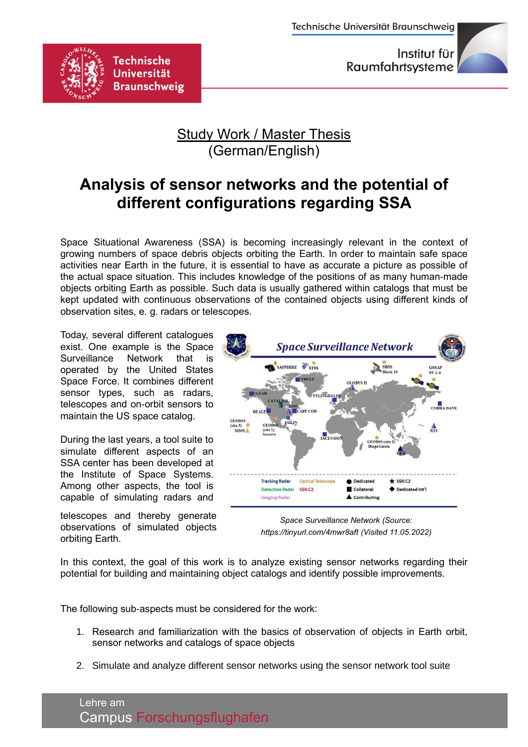

## Study Work / Master Thesis (German/English)

## **Analysis of sensor networks and the potential of different configurations regarding SSA**

Space Situational Awareness (SSA) is becoming increasingly relevant in the context of growing numbers of space debris objects orbiting the Earth. In order to maintain safe space activities near Earth in the future, it is essential to have as accurate a picture as possible of the actual space situation. This includes knowledge of the positions of as many human-made objects orbiting Earth as possible. Such data is usually gathered within catalogs that must be kept updated with continuous observations of the contained objects using different kinds of observation sites, e. g. radars or telescopes.

Today, several different catalogues exist. One example is the Space Surveillance Network that is operated by the United States Space Force. It combines different sensor types, such as radars, telescopes and on-orbit sensors to maintain the US space catalog.

**Technische** 

**Universität** Braunschweig

During the last years, a tool suite to simulate different aspects of an SSA center has been developed at the Institute of Space Systems. Among other aspects, the tool is capable of simulating radars and

telescopes and thereby generate observations of simulated objects orbiting Earth.



*Space Surveillance Network (Source: https://tinyurl.com/4mwr8aft (Visited 11.05.2022)*

In this context, the goal of this work is to analyze existing sensor networks regarding their potential for building and maintaining object catalogs and identify possible improvements.

The following sub-aspects must be considered for the work:

- 1. Research and familiarization with the basics of observation of objects in Earth orbit, sensor networks and catalogs of space objects
- 2. Simulate and analyze different sensor networks using the sensor network tool suite